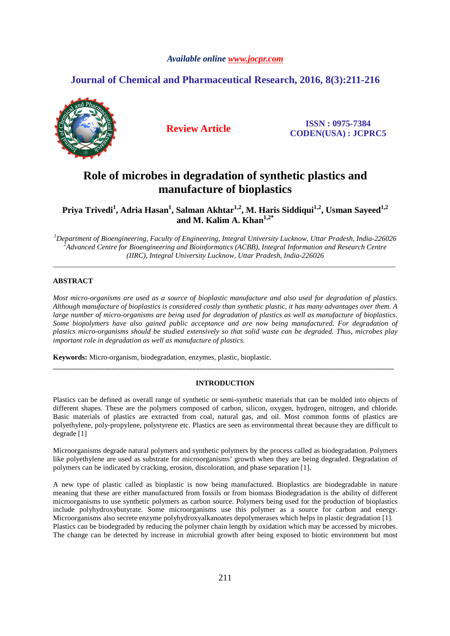### *Available online www.jocpr.com*

## **Journal of Chemical and Pharmaceutical Research, 2016, 8(3):211-216**



**Review Article ISSN : 0975-7384 CODEN(USA) : JCPRC5**

# **Role of microbes in degradation of synthetic plastics and manufacture of bioplastics**

**Priya Trivedi<sup>1</sup> , Adria Hasan<sup>1</sup> , Salman Akhtar1,2, M. Haris Siddiqui1,2, Usman Sayeed1,2 and M. Kalim A. Khan1,2\***

*<sup>1</sup>Department of Bioengineering, Faculty of Engineering, Integral University Lucknow, Uttar Pradesh, India-226026 <sup>2</sup>Advanced Centre for Bioengineering and Bioinformatics (ACBB), Integral Information and Research Centre (IIRC), Integral University Lucknow, Uttar Pradesh, India-226026* 

\_\_\_\_\_\_\_\_\_\_\_\_\_\_\_\_\_\_\_\_\_\_\_\_\_\_\_\_\_\_\_\_\_\_\_\_\_\_\_\_\_\_\_\_\_\_\_\_\_\_\_\_\_\_\_\_\_\_\_\_\_\_\_\_\_\_\_\_\_\_\_\_\_\_\_\_\_\_\_\_\_\_\_\_\_\_\_\_\_\_\_\_\_

### **ABSTRACT**

*Most micro-organisms are used as a source of bioplastic manufacture and also used for degradation of plastics. Although manufacture of bioplastics is considered costly than synthetic plastic, it has many advantages over them. A large number of micro-organisms are being used for degradation of plastics as well as manufacture of bioplastics. Some biopolymers have also gained public acceptance and are now being manufactured. For degradation of plastics micro-organisms should be studied extensively so that solid waste can be degraded. Thus, microbes play important role in degradation as well as manufacture of plastics.* 

**Keywords:** Micro-organism, biodegradation, enzymes, plastic, bioplastic.

### **INTRODUCTION**

\_\_\_\_\_\_\_\_\_\_\_\_\_\_\_\_\_\_\_\_\_\_\_\_\_\_\_\_\_\_\_\_\_\_\_\_\_\_\_\_\_\_\_\_\_\_\_\_\_\_\_\_\_\_\_\_\_\_\_\_\_\_\_\_\_\_\_\_\_\_\_\_\_\_\_\_\_\_\_\_\_\_\_\_\_\_\_\_\_\_\_\_\_

Plastics can be defined as overall range of synthetic or semi-synthetic materials that can be molded into objects of different shapes. These are the polymers composed of carbon, silicon, oxygen, hydrogen, nitrogen, and chloride. Basic materials of plastics are extracted from coal, natural gas, and oil. Most common forms of plastics are polyethylene, poly-propylene, polystyrene etc. Plastics are seen as environmental threat because they are difficult to degrade [1]

Microorganisms degrade natural polymers and synthetic polymers by the process called as biodegradation. Polymers like polyethylene are used as substrate for microorganisms' growth when they are being degraded. Degradation of polymers can be indicated by cracking, erosion, discoloration, and phase separation [1].

A new type of plastic called as bioplastic is now being manufactured. Bioplastics are biodegradable in nature meaning that these are either manufactured from fossils or from biomass Biodegradation is the ability of different microorganisms to use synthetic polymers as carbon source. Polymers being used for the production of bioplastics include polyhydroxybutyrate. Some microorganisms use this polymer as a source for carbon and energy. Microorganisms also secrete enzyme polyhydroxyalkanoates depolymerases which helps in plastic degradation [1]. Plastics can be biodegraded by reducing the polymer chain length by oxidation which may be accessed by microbes. The change can be detected by increase in microbial growth after being exposed to biotic environment but most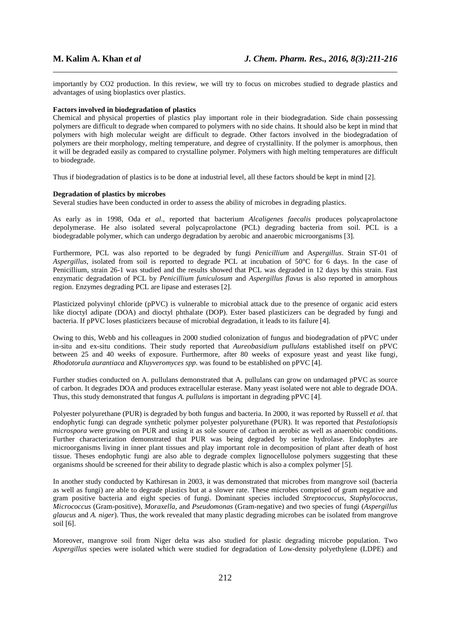importantly by CO2 production. In this review, we will try to focus on microbes studied to degrade plastics and advantages of using bioplastics over plastics.

\_\_\_\_\_\_\_\_\_\_\_\_\_\_\_\_\_\_\_\_\_\_\_\_\_\_\_\_\_\_\_\_\_\_\_\_\_\_\_\_\_\_\_\_\_\_\_\_\_\_\_\_\_\_\_\_\_\_\_\_\_\_\_\_\_\_\_\_\_\_\_\_\_\_\_\_\_\_

### **Factors involved in biodegradation of plastics**

Chemical and physical properties of plastics play important role in their biodegradation. Side chain possessing polymers are difficult to degrade when compared to polymers with no side chains. It should also be kept in mind that polymers with high molecular weight are difficult to degrade. Other factors involved in the biodegradation of polymers are their morphology, melting temperature, and degree of crystallinity. If the polymer is amorphous, then it will be degraded easily as compared to crystalline polymer. Polymers with high melting temperatures are difficult to biodegrade.

Thus if biodegradation of plastics is to be done at industrial level, all these factors should be kept in mind [2].

### **Degradation of plastics by microbes**

Several studies have been conducted in order to assess the ability of microbes in degrading plastics.

As early as in 1998, Oda *et al*., reported that bacterium *Alcaligenes faecalis* produces polycaprolactone depolymerase. He also isolated several polycaprolactone (PCL) degrading bacteria from soil. PCL is a biodegradable polymer, which can undergo degradation by aerobic and anaerobic microorganisms [3].

Furthermore, PCL was also reported to be degraded by fungi *Penicillium* and A*spergillus*. Strain ST-01 of *Aspergillus*, isolated from soil is reported to degrade PCL at incubation of 50°C for 6 days. In the case of Penicillium, strain 26-1 was studied and the results showed that PCL was degraded in 12 days by this strain. Fast enzymatic degradation of PCL by *Penicillium funiculosum* and *Aspergillus flavus* is also reported in amorphous region. Enzymes degrading PCL are lipase and esterases [2].

Plasticized polyvinyl chloride (pPVC) is vulnerable to microbial attack due to the presence of organic acid esters like dioctyl adipate (DOA) and dioctyl phthalate (DOP). Ester based plasticizers can be degraded by fungi and bacteria. If pPVC loses plasticizers because of microbial degradation, it leads to its failure [4].

Owing to this, Webb and his colleagues in 2000 studied colonization of fungus and biodegradation of pPVC under in-situ and ex-situ conditions. Their study reported that *Aureobasidium pullulans* established itself on pPVC between 25 and 40 weeks of exposure. Furthermore, after 80 weeks of exposure yeast and yeast like fungi, *Rhodotorula aurantiaca* and *Kluyveromyces spp*. was found to be established on pPVC [4].

Further studies conducted on A. pullulans demonstrated that A. pullulans can grow on undamaged pPVC as source of carbon. It degrades DOA and produces extracellular esterase. Many yeast isolated were not able to degrade DOA. Thus, this study demonstrated that fungus *A. pullulans* is important in degrading pPVC [4].

Polyester polyurethane (PUR) is degraded by both fungus and bacteria. In 2000, it was reported by Russell *et al*. that endophytic fungi can degrade synthetic polymer polyester polyurethane (PUR). It was reported that *Pestalotiopsis microspora* were growing on PUR and using it as sole source of carbon in aerobic as well as anaerobic conditions. Further characterization demonstrated that PUR was being degraded by serine hydrolase. Endophytes are microorganisms living in inner plant tissues and play important role in decomposition of plant after death of host tissue. Theses endophytic fungi are also able to degrade complex lignocellulose polymers suggesting that these organisms should be screened for their ability to degrade plastic which is also a complex polymer [5].

In another study conducted by Kathiresan in 2003, it was demonstrated that microbes from mangrove soil (bacteria as well as fungi) are able to degrade plastics but at a slower rate. These microbes comprised of gram negative and gram positive bacteria and eight species of fungi. Dominant species included *Streptococcus*, *Staphylococcus, Micrococcus* (Gram-positive), *Moraxella*, and *Pseudomonas* (Gram-negative) and two species of fungi (*Aspergillus glaucus* and *A. niger*). Thus, the work revealed that many plastic degrading microbes can be isolated from mangrove soil [6].

Moreover, mangrove soil from Niger delta was also studied for plastic degrading microbe population. Two *Aspergillus* species were isolated which were studied for degradation of Low-density polyethylene (LDPE) and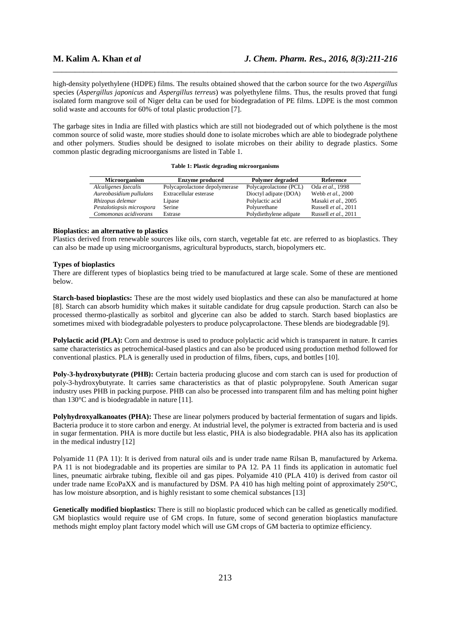high-density polyethylene (HDPE) films. The results obtained showed that the carbon source for the two *Aspergillus* species (*Aspergillus japonicus* and *Aspergillus terreus*) was polyethylene films. Thus, the results proved that fungi isolated form mangrove soil of Niger delta can be used for biodegradation of PE films. LDPE is the most common solid waste and accounts for 60% of total plastic production [7].

\_\_\_\_\_\_\_\_\_\_\_\_\_\_\_\_\_\_\_\_\_\_\_\_\_\_\_\_\_\_\_\_\_\_\_\_\_\_\_\_\_\_\_\_\_\_\_\_\_\_\_\_\_\_\_\_\_\_\_\_\_\_\_\_\_\_\_\_\_\_\_\_\_\_\_\_\_\_

The garbage sites in India are filled with plastics which are still not biodegraded out of which polythene is the most common source of solid waste, more studies should done to isolate microbes which are able to biodegrade polythene and other polymers. Studies should be designed to isolate microbes on their ability to degrade plastics. Some common plastic degrading microorganisms are listed in Table 1.

|  |  |  |  | Table 1: Plastic degrading microorganisms |
|--|--|--|--|-------------------------------------------|
|--|--|--|--|-------------------------------------------|

| <b>Microorganism</b>      | <b>Enzyme produced</b>        | Polymer degraded       | Reference            |
|---------------------------|-------------------------------|------------------------|----------------------|
| Alcaligenes faecalis      | Polycaprolactone depolymerase | Polycaprolactone (PCL) | Oda et al., 1998     |
| Aureobasidium pullulans   | Extracellular esterase        | Dioctyl adipate (DOA)  | Webb et al., 2000    |
| Rhizopus delemar          | Lipase                        | Polylactic acid        | Masaki et al., 2005  |
| Pestalotiopsis microspora | Serine                        | Polyurethane           | Russell et al., 2011 |
| Comomonas acidivorans     | Estrase                       | Polydiethylene adipate | Russell et al., 2011 |

### **Bioplastics: an alternative to plastics**

Plastics derived from renewable sources like oils, corn starch, vegetable fat etc. are referred to as bioplastics. They can also be made up using microorganisms, agricultural byproducts, starch, biopolymers etc.

### **Types of bioplastics**

There are different types of bioplastics being tried to be manufactured at large scale. Some of these are mentioned below.

**Starch-based bioplastics:** These are the most widely used bioplastics and these can also be manufactured at home [8]. Starch can absorb humidity which makes it suitable candidate for drug capsule production. Starch can also be processed thermo-plastically as sorbitol and glycerine can also be added to starch. Starch based bioplastics are sometimes mixed with biodegradable polyesters to produce polycaprolactone. These blends are biodegradable [9].

**Polylactic acid (PLA):** Corn and dextrose is used to produce polylactic acid which is transparent in nature. It carries same characteristics as petrochemical-based plastics and can also be produced using production method followed for conventional plastics. PLA is generally used in production of films, fibers, cups, and bottles [10].

**Poly-3-hydroxybutyrate (PHB):** Certain bacteria producing glucose and corn starch can is used for production of poly-3-hydroxybutyrate. It carries same characteristics as that of plastic polypropylene. South American sugar industry uses PHB in packing purpose. PHB can also be processed into transparent film and has melting point higher than 130°C and is biodegradable in nature [11].

Polyhydroxyalkanoates (PHA): These are linear polymers produced by bacterial fermentation of sugars and lipids. Bacteria produce it to store carbon and energy. At industrial level, the polymer is extracted from bacteria and is used in sugar fermentation. PHA is more ductile but less elastic, PHA is also biodegradable. PHA also has its application in the medical industry [12]

Polyamide 11 (PA 11): It is derived from natural oils and is under trade name Rilsan B, manufactured by Arkema. PA 11 is not biodegradable and its properties are similar to PA 12. PA 11 finds its application in automatic fuel lines, pneumatic airbrake tubing, flexible oil and gas pipes. Polyamide 410 (PLA 410) is derived from castor oil under trade name EcoPaXX and is manufactured by DSM. PA 410 has high melting point of approximately 250°C, has low moisture absorption, and is highly resistant to some chemical substances [13]

**Genetically modified bioplastics:** There is still no bioplastic produced which can be called as genetically modified. GM bioplastics would require use of GM crops. In future, some of second generation bioplastics manufacture methods might employ plant factory model which will use GM crops of GM bacteria to optimize efficiency.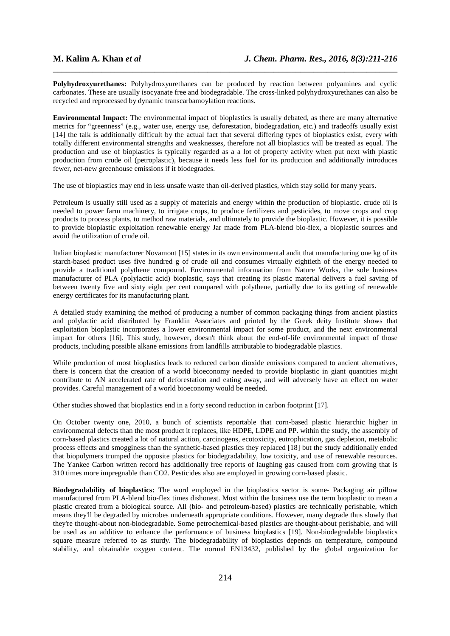**Polyhydroxyurethanes:** Polyhydroxyurethanes can be produced by reaction between polyamines and cyclic carbonates. These are usually isocyanate free and biodegradable. The cross-linked polyhydroxyurethanes can also be recycled and reprocessed by dynamic transcarbamoylation reactions.

\_\_\_\_\_\_\_\_\_\_\_\_\_\_\_\_\_\_\_\_\_\_\_\_\_\_\_\_\_\_\_\_\_\_\_\_\_\_\_\_\_\_\_\_\_\_\_\_\_\_\_\_\_\_\_\_\_\_\_\_\_\_\_\_\_\_\_\_\_\_\_\_\_\_\_\_\_\_

**Environmental Impact:** The environmental impact of bioplastics is usually debated, as there are many alternative metrics for "greenness" (e.g., water use, energy use, deforestation, biodegradation, etc.) and tradeoffs usually exist [14] the talk is additionally difficult by the actual fact that several differing types of bioplastics exist, every with totally different environmental strengths and weaknesses, therefore not all bioplastics will be treated as equal. The production and use of bioplastics is typically regarded as a a lot of property activity when put next with plastic production from crude oil (petroplastic), because it needs less fuel for its production and additionally introduces fewer, net-new greenhouse emissions if it biodegrades.

The use of bioplastics may end in less unsafe waste than oil-derived plastics, which stay solid for many years.

Petroleum is usually still used as a supply of materials and energy within the production of bioplastic. crude oil is needed to power farm machinery, to irrigate crops, to produce fertilizers and pesticides, to move crops and crop products to process plants, to method raw materials, and ultimately to provide the bioplastic. However, it is possible to provide bioplastic exploitation renewable energy Jar made from PLA-blend bio-flex, a bioplastic sources and avoid the utilization of crude oil.

Italian bioplastic manufacturer Novamont [15] states in its own environmental audit that manufacturing one kg of its starch-based product uses five hundred g of crude oil and consumes virtually eightieth of the energy needed to provide a traditional polythene compound. Environmental information from Nature Works, the sole business manufacturer of PLA (polylactic acid) bioplastic, says that creating its plastic material delivers a fuel saving of between twenty five and sixty eight per cent compared with polythene, partially due to its getting of renewable energy certificates for its manufacturing plant.

A detailed study examining the method of producing a number of common packaging things from ancient plastics and polylactic acid distributed by Franklin Associates and printed by the Greek deity Institute shows that exploitation bioplastic incorporates a lower environmental impact for some product, and the next environmental impact for others [16]. This study, however, doesn't think about the end-of-life environmental impact of those products, including possible alkane emissions from landfills attributable to biodegradable plastics.

While production of most bioplastics leads to reduced carbon dioxide emissions compared to ancient alternatives, there is concern that the creation of a world bioeconomy needed to provide bioplastic in giant quantities might contribute to AN accelerated rate of deforestation and eating away, and will adversely have an effect on water provides. Careful management of a world bioeconomy would be needed.

Other studies showed that bioplastics end in a forty second reduction in carbon footprint [17].

On October twenty one, 2010, a bunch of scientists reportable that corn-based plastic hierarchic higher in environmental defects than the most product it replaces, like HDPE, LDPE and PP. within the study, the assembly of corn-based plastics created a lot of natural action, carcinogens, ecotoxicity, eutrophication, gas depletion, metabolic process effects and smogginess than the synthetic-based plastics they replaced [18] but the study additionally ended that biopolymers trumped the opposite plastics for biodegradability, low toxicity, and use of renewable resources. The Yankee Carbon written record has additionally free reports of laughing gas caused from corn growing that is 310 times more impregnable than CO2. Pesticides also are employed in growing corn-based plastic.

**Biodegradability of bioplastics:** The word employed in the bioplastics sector is some- Packaging air pillow manufactured from PLA-blend bio-flex times dishonest. Most within the business use the term bioplastic to mean a plastic created from a biological source. All (bio- and petroleum-based) plastics are technically perishable, which means they'll be degraded by microbes underneath appropriate conditions. However, many degrade thus slowly that they're thought-about non-biodegradable. Some petrochemical-based plastics are thought-about perishable, and will be used as an additive to enhance the performance of business bioplastics [19]. Non-biodegradable bioplastics square measure referred to as sturdy. The biodegradability of bioplastics depends on temperature, compound stability, and obtainable oxygen content. The normal EN13432, published by the global organization for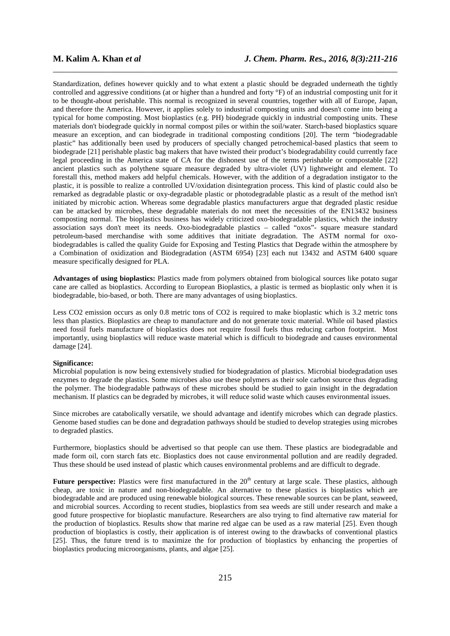Standardization, defines however quickly and to what extent a plastic should be degraded underneath the tightly controlled and aggressive conditions (at or higher than a hundred and forty °F) of an industrial composting unit for it to be thought-about perishable. This normal is recognized in several countries, together with all of Europe, Japan, and therefore the America. However, it applies solely to industrial composting units and doesn't come into being a typical for home composting. Most bioplastics (e.g. PH) biodegrade quickly in industrial composting units. These materials don't biodegrade quickly in normal compost piles or within the soil/water. Starch-based bioplastics square measure an exception, and can biodegrade in traditional composting conditions [20]. The term "biodegradable plastic" has additionally been used by producers of specially changed petrochemical-based plastics that seem to biodegrade [21] perishable plastic bag makers that have twisted their product's biodegradability could currently face legal proceeding in the America state of CA for the dishonest use of the terms perishable or compostable [22] ancient plastics such as polythene square measure degraded by ultra-violet (UV) lightweight and element. To forestall this, method makers add helpful chemicals. However, with the addition of a degradation instigator to the plastic, it is possible to realize a controlled UV/oxidation disintegration process. This kind of plastic could also be remarked as degradable plastic or oxy-degradable plastic or photodegradable plastic as a result of the method isn't initiated by microbic action. Whereas some degradable plastics manufacturers argue that degraded plastic residue can be attacked by microbes, these degradable materials do not meet the necessities of the EN13432 business composting normal. The bioplastics business has widely criticized oxo-biodegradable plastics, which the industry association says don't meet its needs. Oxo-biodegradable plastics – called "oxos"- square measure standard petroleum-based merchandise with some additives that initiate degradation. The ASTM normal for oxobiodegradables is called the quality Guide for Exposing and Testing Plastics that Degrade within the atmosphere by a Combination of oxidization and Biodegradation (ASTM 6954) [23] each nut 13432 and ASTM 6400 square measure specifically designed for PLA.

\_\_\_\_\_\_\_\_\_\_\_\_\_\_\_\_\_\_\_\_\_\_\_\_\_\_\_\_\_\_\_\_\_\_\_\_\_\_\_\_\_\_\_\_\_\_\_\_\_\_\_\_\_\_\_\_\_\_\_\_\_\_\_\_\_\_\_\_\_\_\_\_\_\_\_\_\_\_

**Advantages of using bioplastics:** Plastics made from polymers obtained from biological sources like potato sugar cane are called as bioplastics. According to European Bioplastics, a plastic is termed as bioplastic only when it is biodegradable, bio-based, or both. There are many advantages of using bioplastics.

Less CO2 emission occurs as only 0.8 metric tons of CO2 is required to make bioplastic which is 3.2 metric tons less than plastics. Bioplastics are cheap to manufacture and do not generate toxic material. While oil based plastics need fossil fuels manufacture of bioplastics does not require fossil fuels thus reducing carbon footprint. Most importantly, using bioplastics will reduce waste material which is difficult to biodegrade and causes environmental damage [24].

### **Significance:**

Microbial population is now being extensively studied for biodegradation of plastics. Microbial biodegradation uses enzymes to degrade the plastics. Some microbes also use these polymers as their sole carbon source thus degrading the polymer. The biodegradable pathways of these microbes should be studied to gain insight in the degradation mechanism. If plastics can be degraded by microbes, it will reduce solid waste which causes environmental issues.

Since microbes are catabolically versatile, we should advantage and identify microbes which can degrade plastics. Genome based studies can be done and degradation pathways should be studied to develop strategies using microbes to degraded plastics.

Furthermore, bioplastics should be advertised so that people can use them. These plastics are biodegradable and made form oil, corn starch fats etc. Bioplastics does not cause environmental pollution and are readily degraded. Thus these should be used instead of plastic which causes environmental problems and are difficult to degrade.

**Future perspective:** Plastics were first manufactured in the 20<sup>th</sup> century at large scale. These plastics, although cheap, are toxic in nature and non-biodegradable. An alternative to these plastics is bioplastics which are biodegradable and are produced using renewable biological sources. These renewable sources can be plant, seaweed, and microbial sources. According to recent studies, bioplastics from sea weeds are still under research and make a good future prospective for bioplastic manufacture. Researchers are also trying to find alternative raw material for the production of bioplastics. Results show that marine red algae can be used as a raw material [25]. Even though production of bioplastics is costly, their application is of interest owing to the drawbacks of conventional plastics [25]. Thus, the future trend is to maximize the for production of bioplastics by enhancing the properties of bioplastics producing microorganisms, plants, and algae [25].